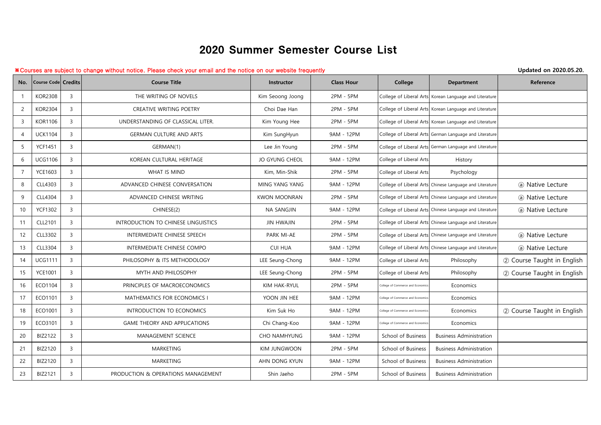## 2020 Summer Semester Course List

## ※Courses are subject to change without notice. Please check your email and the notice on our website frequently **Updated on 2020.05.20.**

| No.            | Course Code Credits |                | <b>Course Title</b>                 | Instructor            | <b>Class Hour</b> | College                           | Department                                              | Reference                  |
|----------------|---------------------|----------------|-------------------------------------|-----------------------|-------------------|-----------------------------------|---------------------------------------------------------|----------------------------|
|                | <b>KOR2308</b>      | $\overline{3}$ | THE WRITING OF NOVELS               | Kim Seoong Joong      | 2PM - 5PM         | College of Liberal Arts           | Korean Language and Literature                          |                            |
| 2              | <b>KOR2304</b>      | $\overline{3}$ | CREATIVE WRITING POETRY             | Choi Dae Han          | 2PM - 5PM         |                                   | College of Liberal Arts Korean Language and Literature  |                            |
| 3              | <b>KOR1106</b>      | $\overline{3}$ | UNDERSTANDING OF CLASSICAL LITER.   | Kim Young Hee         | 2PM - 5PM         |                                   | College of Liberal Arts Korean Language and Literature  |                            |
| $\overline{4}$ | <b>UCK1104</b>      | $\overline{3}$ | <b>GERMAN CULTURE AND ARTS</b>      | Kim SungHyun          | 9AM - 12PM        |                                   | College of Liberal Arts German Language and Literature  |                            |
| 5              | <b>YCF1451</b>      | $\overline{3}$ | GERMAN(1)                           | Lee Jin Young         | 2PM - 5PM         |                                   | College of Liberal Arts German Language and Literature  |                            |
| 6              | <b>UCG1106</b>      | $\overline{3}$ | KOREAN CULTURAL HERITAGE            | <b>JO GYUNG CHEOL</b> | 9AM - 12PM        | College of Liberal Arts           | History                                                 |                            |
| $\overline{7}$ | <b>YCE1603</b>      | $\overline{3}$ | WHAT IS MIND                        | Kim, Min-Shik         | 2PM - 5PM         | College of Liberal Arts           | Psychology                                              |                            |
| 8              | CLL4303             | $\overline{3}$ | ADVANCED CHINESE CONVERSATION       | MING YANG YANG        | 9AM - 12PM        |                                   | College of Liberal Arts Chinese Language and Literature | (a) Native Lecture         |
| 9              | CLL4304             | $\mathbf{3}$   | ADVANCED CHINESE WRITING            | <b>KWON MOONRAN</b>   | 2PM - 5PM         |                                   | College of Liberal Arts Chinese Language and Literature | (a) Native Lecture         |
| 10             | <b>YCF1302</b>      | $\mathbf{3}$   | CHINESE(2)                          | <b>NA SANGJIN</b>     | 9AM - 12PM        |                                   | College of Liberal Arts Chinese Language and Literature | (a) Native Lecture         |
| 11             | <b>CLL2101</b>      | $\overline{3}$ | INTRODUCTION TO CHINESE LINGUISTICS | <b>JIN HWAJIN</b>     | 2PM - 5PM         |                                   | College of Liberal Arts Chinese Language and Literature |                            |
| 12             | CLL3302             | $\overline{3}$ | INTERMEDIATE CHINESE SPEECH         | PARK MI-AE            | 2PM - 5PM         |                                   | College of Liberal Arts Chinese Language and Literature | (a) Native Lecture         |
| 13             | CLL3304             | 3              | INTERMEDIATE CHINESE COMPO          | <b>CUI HUA</b>        | 9AM - 12PM        |                                   | College of Liberal Arts Chinese Language and Literature | (a) Native Lecture         |
| 14             | <b>UCG1111</b>      | $\overline{3}$ | PHILOSOPHY & ITS METHODOLOGY        | LEE Seung-Chong       | 9AM - 12PM        | College of Liberal Arts           | Philosophy                                              | 2 Course Taught in English |
| 15             | <b>YCE1001</b>      | $\overline{3}$ | MYTH AND PHILOSOPHY                 | LEE Seung-Chong       | 2PM - 5PM         | College of Liberal Arts           | Philosophy                                              | 2 Course Taught in English |
| 16             | ECO1104             | $\overline{3}$ | PRINCIPLES OF MACROECONOMICS        | <b>KIM HAK-RYUL</b>   | 2PM - 5PM         | College of Commerce and Economics | Economics                                               |                            |
| 17             | ECO1101             | $\overline{3}$ | MATHEMATICS FOR ECONOMICS I         | YOON JIN HEE          | 9AM - 12PM        | College of Commerce and Economics | Economics                                               |                            |
| 18             | ECO1001             | $\overline{3}$ | INTRODUCTION TO ECONOMICS           | Kim Suk Ho            | 9AM - 12PM        | College of Commerce and Economics | Economics                                               | 2 Course Taught in English |
| 19             | ECO3101             | $\overline{3}$ | <b>GAME THEORY AND APPLICATIONS</b> | Chi Chang-Koo         | 9AM - 12PM        | College of Commerce and Economics | Economics                                               |                            |
| 20             | BIZ2122             | $\overline{3}$ | <b>MANAGEMENT SCIENCE</b>           | <b>CHO NAMHYUNG</b>   | 9AM - 12PM        | School of Business                | <b>Business Administration</b>                          |                            |
| 21             | BIZ2120             | $\mathbf{3}$   | MARKETING                           | KIM JUNGWOON          | 2PM - 5PM         | School of Business                | <b>Business Administration</b>                          |                            |
| 22             | BIZ2120             | $\overline{3}$ | MARKETING                           | AHN DONG KYUN         | 9AM - 12PM        | School of Business                | <b>Business Administration</b>                          |                            |
| 23             | <b>BIZ2121</b>      | $\overline{3}$ | PRODUCTION & OPERATIONS MANAGEMENT  | Shin Jaeho            | 2PM - 5PM         | School of Business                | <b>Business Administration</b>                          |                            |